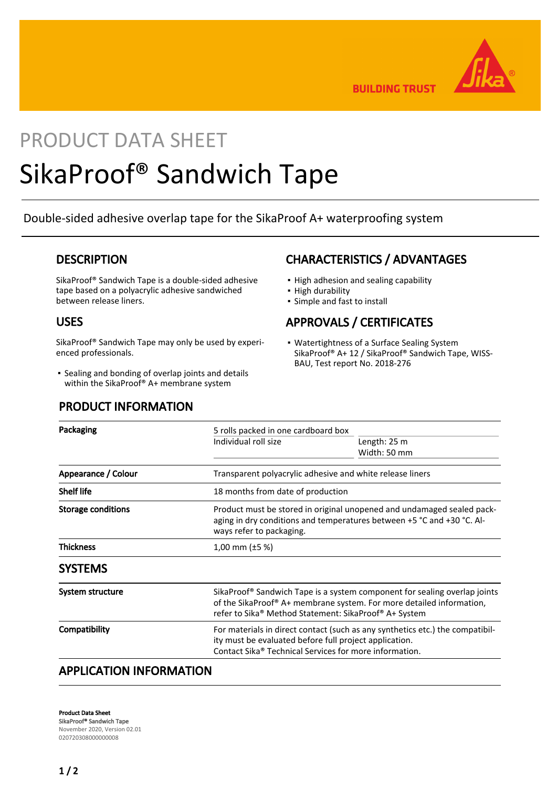

**BUILDING TRUST** 

# PRODUCT DATA SHEET SikaProof® Sandwich Tape

Double-sided adhesive overlap tape for the SikaProof A+ waterproofing system

## **DESCRIPTION**

SikaProof® Sandwich Tape is a double-sided adhesive tape based on a polyacrylic adhesive sandwiched between release liners.

## USES

SikaProof® Sandwich Tape may only be used by experienced professionals.

**•** Sealing and bonding of overlap joints and details within the SikaProof® A+ membrane system

### PRODUCT INFORMATION

## CHARACTERISTICS / ADVANTAGES

- High adhesion and sealing capability
- High durability
- Simple and fast to install

## APPROVALS / CERTIFICATES

• Watertightness of a Surface Sealing System SikaProof® A+ 12 / SikaProof® Sandwich Tape, WISS-BAU, Test report No. 2018-276

| Packaging                    | 5 rolls packed in one cardboard box                                                                                                                                                                                    |              |
|------------------------------|------------------------------------------------------------------------------------------------------------------------------------------------------------------------------------------------------------------------|--------------|
|                              | Individual roll size                                                                                                                                                                                                   | Length: 25 m |
|                              |                                                                                                                                                                                                                        | Width: 50 mm |
| Appearance / Colour          | Transparent polyacrylic adhesive and white release liners                                                                                                                                                              |              |
| <b>Shelf life</b>            | 18 months from date of production                                                                                                                                                                                      |              |
| <b>Storage conditions</b>    | Product must be stored in original unopened and undamaged sealed pack-<br>aging in dry conditions and temperatures between +5 °C and +30 °C. Al-<br>ways refer to packaging.                                           |              |
| <b>Thickness</b>             | 1,00 mm $(\pm 5 \%)$                                                                                                                                                                                                   |              |
| <b>SYSTEMS</b>               |                                                                                                                                                                                                                        |              |
| System structure             | SikaProof® Sandwich Tape is a system component for sealing overlap joints<br>of the SikaProof <sup>®</sup> A+ membrane system. For more detailed information,<br>refer to Sika® Method Statement: SikaProof® A+ System |              |
| Compatibility                | For materials in direct contact (such as any synthetics etc.) the compatibil-<br>ity must be evaluated before full project application.<br>Contact Sika® Technical Services for more information.                      |              |
| ADDI ICATIONI INIEODNAATIONI |                                                                                                                                                                                                                        |              |

## APPLICATION INFORMATION

Product Data Sheet SikaProof® Sandwich Tape November 2020, Version 02.01 020720308000000008